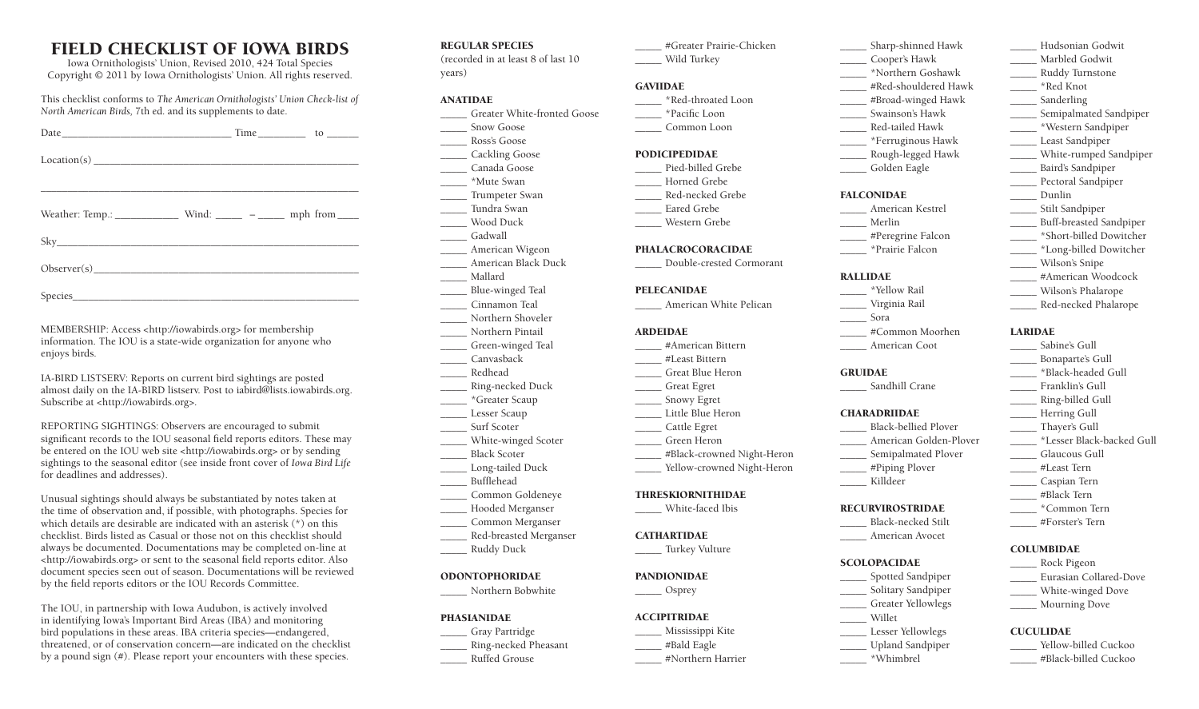# FIELD CHECKLIST OF IOWA BIRDS

Iowa Ornithologists' Union, Revised 2010, 424 Total Species Copyright © 2011 by Iowa Ornithologists' Union. All rights reserved.

This checklist conforms to *The American Ornithologists' Union Check-list of North American Birds,* 7th ed. and its supplements to date.

Species\_\_\_\_\_\_\_\_\_\_\_\_\_\_\_\_\_\_\_\_\_\_\_\_\_\_\_\_\_\_\_\_\_\_\_\_\_\_\_\_\_\_\_\_\_\_\_\_\_\_\_\_\_\_

MEMBERSHIP: Access <http://iowabirds.org> for membership information. The IOU is a state-wide organization for anyone who enjoys birds.

IA-BIRD LISTSERV: Reports on current bird sightings are posted almost daily on the IA-BIRD listserv. Post to iabird@lists.iowabirds.org. Subscribe at <http://iowabirds.org>.

REPORTING SIGHTINGS: Observers are encouraged to submit significant records to the IOU seasonal field reports editors. These may be entered on the IOU web site <http://iowabirds.org> or by sending sightings to the seasonal editor (see inside front cover of *Iowa Bird Life* for deadlines and addresses).

Unusual sightings should always be substantiated by notes taken at the time of observation and, if possible, with photographs. Species for which details are desirable are indicated with an asterisk (\*) on this checklist. Birds listed as Casual or those not on this checklist should always be documented. Documentations may be completed on-line at <http://iowabirds.org> or sent to the seasonal field reports editor. Also document species seen out of season. Documentations will be reviewed by the field reports editors or the IOU Records Committee.

The IOU, in partnership with Iowa Audubon, is actively involved in identifying Iowa's Important Bird Areas (IBA) and monitoring bird populations in these areas. IBA criteria species––endangered, threatened, or of conservation concern––are indicated on the checklist by a pound sign (#). Please report your encounters with these species.

REGULAR SPECIES

(recorded in at least 8 of last 10 years)

# ANATIDAE

- \_\_\_\_\_ Greater White-fronted Goose
- Snow Goose
- \_\_\_\_\_ Ross's Goose \_\_\_\_\_ Cackling Goose
- \_\_\_\_\_ Canada Goose
- \_\_\_\_\_ \*Mute Swan
- \_\_\_\_\_ Trumpeter Swan
- \_\_\_\_\_ Tundra Swan
- \_\_\_\_\_ Wood Duck
- \_\_\_\_\_ Gadwall
- \_\_\_\_\_ American Wigeon
- \_\_\_\_\_ American Black Duck
- \_\_\_\_\_ Mallard
- \_\_\_\_\_ Blue-winged Teal \_\_\_\_\_ Cinnamon Teal
- Northern Shoveler
- \_\_\_\_\_ Northern Pintail
- \_\_\_\_\_ Green-winged Teal
- \_\_\_\_\_ Canvasback
- \_\_\_\_\_ Redhead
- \_\_\_\_\_ Ring-necked Duck
- \_\_\_\_\_ \*Greater Scaup
- \_\_\_\_\_ Lesser Scaup
- Surf Scoter
- \_\_\_\_\_ White-winged Scoter \_\_\_\_\_ Black Scoter
- \_\_\_\_\_ Long-tailed Duck
- \_\_\_\_\_ Bufflehead
- \_\_\_\_\_ Common Goldeneye
- \_\_\_\_\_ Hooded Merganser
- \_\_\_\_\_ Common Merganser
- \_\_\_\_\_ Red-breasted Merganser
- \_\_\_\_\_ Ruddy Duck

### ODONTOPHORIDAE

\_\_\_\_\_ Northern Bobwhite

# PHASIANIDAE

- \_\_\_\_\_ Gray Partridge
- \_\_\_\_\_ Ring-necked Pheasant
- \_\_\_\_\_ Ruffed Grouse

#Greater Prairie-Chicken \_\_\_\_\_ Wild Turkey

# GAVIIDAE

- \_\_\_\_\_ \*Red-throated Loon \_\_\_\_\_ \*Pacific Loon
- \_\_\_\_\_ Common Loon

#### PODICIPEDIDAE

- Pied-billed Grebe \_\_\_\_\_ Horned Grebe
- \_\_\_\_\_ Red-necked Grebe Eared Grebe
- \_\_\_\_\_ Western Grebe

#### PHALACROCORACIDAE

\_\_\_\_\_ Double-crested Cormorant

#### PELECANIDAE

\_\_\_\_\_ American White Pelican

#### ARDEIDAE

- \_\_\_\_\_ #American Bittern \_\_\_\_\_ #Least Bittern
- \_\_\_\_\_ Great Blue Heron
- \_\_\_\_\_ Great Egret
- \_\_\_\_\_ Snowy Egret
- \_\_\_\_\_ Little Blue Heron
- \_\_\_\_\_ Cattle Egret
- \_\_\_\_\_ Green Heron

Yellow-crowned Night-Heron

\_\_\_\_\_ #Black-crowned Night-Heron

#### THRESKIORNITHIDAE

\_\_\_\_\_ White-faced Ibis

#### **CATHARTIDAE**

# \_\_\_\_\_ Turkey Vulture

## PANDIONIDAE

\_\_\_\_\_ Osprey

# **ACCIPITRIDAE**

- \_\_\_\_\_ Mississippi Kite
- \_\_\_\_\_ #Bald Eagle
- \_\_\_\_\_ #Northern Harrier
- \_\_\_\_\_ Sharp-shinned Hawk \_\_\_\_\_ Cooper's Hawk \_\_\_\_\_ \*Northern Goshawk
- #Red-shouldered Hawk

\_\_\_\_\_ Hudsonian Godwit \_\_\_\_\_ Marbled Godwit \_\_\_\_\_ Ruddy Turnstone \_\_\_\_\_ \*Red Knot Sanderling

\_\_\_\_\_ Semipalmated Sandpiper \_\_\_\_\_ \*Western Sandpiper \_\_\_\_\_ Least Sandpiper \_\_\_\_\_ White-rumped Sandpiper \_\_\_\_\_ Baird's Sandpiper Pectoral Sandpiper \_\_\_\_\_ Dunlin \_\_\_\_\_ Stilt Sandpiper \_\_\_\_\_ Buff-breasted Sandpiper \_\_\_\_\_ \*Short-billed Dowitcher \_\_\_\_\_ \*Long-billed Dowitcher \_\_\_\_\_ Wilson's Snipe \_\_\_\_\_ #American Woodcock \_\_\_\_\_ Wilson's Phalarope \_\_\_\_\_ Red-necked Phalarope

LARIDAE

COLUMBIDAE \_\_\_\_\_ Rock Pigeon \_\_\_\_\_ Eurasian Collared-Dove \_\_\_\_\_ White-winged Dove \_\_\_\_\_ Mourning Dove

CUCULIDAE

Yellow-billed Cuckoo \_\_\_\_\_ #Black-billed Cuckoo

\_\_\_\_\_ Sabine's Gull \_\_\_\_\_ Bonaparte's Gull \_\_\_\_\_ \*Black-headed Gull \_\_\_\_\_ Franklin's Gull \_\_\_\_\_ Ring-billed Gull Herring Gull \_\_\_\_\_ Thayer's Gull

\_\_\_\_\_ \*Lesser Black-backed Gull \_\_\_\_\_ Glaucous Gull \_\_\_\_\_ #Least Tern \_\_\_\_\_ Caspian Tern \_\_\_\_\_ #Black Tern \_\_\_\_\_ \*Common Tern \_\_\_\_\_ #Forster's Tern

- \_\_\_\_\_ #Broad-winged Hawk
- \_\_\_\_\_ Swainson's Hawk \_\_\_\_\_ Red-tailed Hawk
- \_\_\_\_\_ \*Ferruginous Hawk
- \_\_\_\_\_ Rough-legged Hawk
- \_\_\_\_\_ Golden Eagle
- FALCONIDAE
- \_\_\_\_\_ American Kestrel
- \_\_\_\_\_ Merlin
- \_\_\_\_\_ #Peregrine Falcon
- \_\_\_\_\_ \*Prairie Falcon

#### RALLIDAE

- \_\_\_\_\_ \*Yellow Rail
- \_\_\_\_\_ Virginia Rail
	- \_\_\_\_\_ Sora \_\_\_\_\_ #Common Moorhen
		- \_\_\_\_\_ American Coot

# **GRUIDAE**

Sandhill Crane

\_\_\_\_\_ Black-bellied Plover \_\_\_\_\_ American Golden-Plover \_\_\_\_\_ Semipalmated Plover \_\_\_\_\_ #Piping Plover \_\_\_\_\_ Killdeer RECURVIROSTRIDAE \_\_\_\_\_ Black-necked Stilt \_\_\_\_\_ American Avocet

#### **CHARADRIIDAE**

**SCOLOPACIDAE** \_\_\_\_\_ Spotted Sandpiper \_\_\_\_\_ Solitary Sandpiper \_\_\_\_\_ Greater Yellowlegs \_\_\_\_\_ Willet \_\_\_\_\_ Lesser Yellowlegs \_\_\_\_\_ Upland Sandpiper \_\_\_\_\_ \*Whimbrel